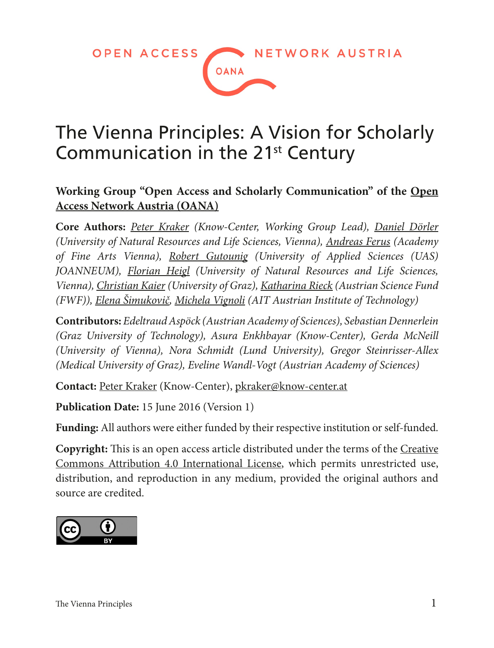**OPEN ACCESS** NETWORK AUSTRIA **OANA** 

## The Vienna Principles: A Vision for Scholarly Communication in the 21<sup>st</sup> Century

#### **Working Group "Open Access and Scholarly Communication" of the [Open](http://oana.at)  [Access Network Austria \(OANA\)](http://oana.at)**

**Core Authors:** *[Peter Kraker](http://orcid.org/0000-0002-5238-4195) (Know-Center, Working Group Lead), [Daniel Dörler](https://forschung.boku.ac.at/fis/suchen.person_uebersicht?sprache_in=de&menue_id_in=101&id_in=136201) (University of Natural Resources and Life Sciences, Vienna), [Andreas Ferus](http://orcid.org/0000-0003-2509-0009) (Academy of Fine Arts Vienna), [Robert Gutounig](http://orcid.org/0000-0001-8346-7949) (University of Applied Sciences (UAS) JOANNEUM), [Florian Heigl](https://forschung.boku.ac.at/fis/suchen.person_uebersicht?sprache_in=en&ansicht_in=&menue_id_in=101&id_in=113247) (University of Natural Resources and Life Sciences, Vienna), [Christian Kaier](http://orcid.org/0000-0002-8750-6666) (University of Graz), [Katharina Rieck](http://orcid.org/0000-0002-9316-165X) (Austrian Science Fund (FWF)), [Elena Šimukovič,](http://orcid.org/0000-0003-1363-243X) [Michela Vignoli](http://orcid.org/0000-0002-9495-5697) (AIT Austrian Institute of Technology)*

**Contributors:** *Edeltraud Aspöck (Austrian Academy of Sciences), Sebastian Dennerlein (Graz University of Technology), Asura Enkhbayar (Know-Center), Gerda McNeill (University of Vienna), Nora Schmidt (Lund University), Gregor Steinrisser-Allex (Medical University of Graz), Eveline Wandl-Vogt (Austrian Academy of Sciences)*

**Contact:** [Peter Kraker](http://orcid.org/0000-0002-5238-4195) (Know-Center), [pkraker@know-center.at](mailto:pkraker@know-center.at)

**Publication Date:** 15 June 2016 (Version 1)

**Funding:** All authors were either funded by their respective institution or self-funded.

**Copyright:** This is an open access article distributed under the terms of the [Creative](http://creativecommons.org/licenses/by/4.0/)  [Commons Attribution 4.0 International License](http://creativecommons.org/licenses/by/4.0/), which permits unrestricted use, distribution, and reproduction in any medium, provided the original authors and source are credited.

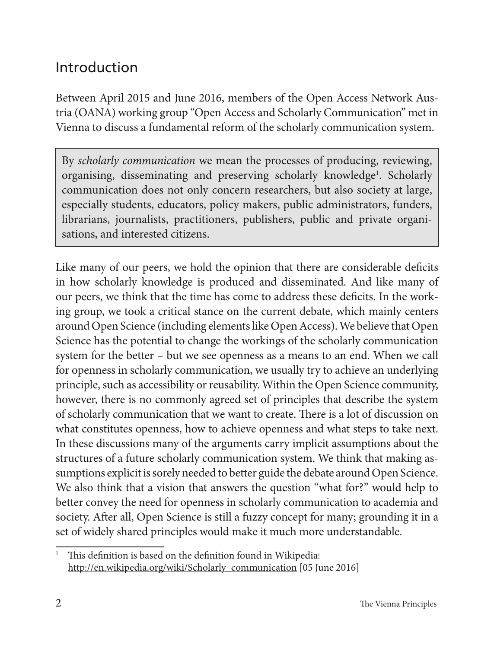### Introduction

Between April 2015 and June 2016, members of the Open Access Network Austria (OANA) working group "Open Access and Scholarly Communication" met in Vienna to discuss a fundamental reform of the scholarly communication system.

By *scholarly communication* we mean the processes of producing, reviewing, organising, disseminating and preserving scholarly knowledge<sup>1</sup>. Scholarly communication does not only concern researchers, but also society at large, especially students, educators, policy makers, public administrators, funders, librarians, journalists, practitioners, publishers, public and private organisations, and interested citizens.

Like many of our peers, we hold the opinion that there are considerable deficits in how scholarly knowledge is produced and disseminated. And like many of our peers, we think that the time has come to address these deficits. In the working group, we took a critical stance on the current debate, which mainly centers around Open Science (including elements like Open Access). We believe that Open Science has the potential to change the workings of the scholarly communication system for the better – but we see openness as a means to an end. When we call for openness in scholarly communication, we usually try to achieve an underlying principle, such as accessibility or reusability. Within the Open Science community, however, there is no commonly agreed set of principles that describe the system of scholarly communication that we want to create. There is a lot of discussion on what constitutes openness, how to achieve openness and what steps to take next. In these discussions many of the arguments carry implicit assumptions about the structures of a future scholarly communication system. We think that making assumptions explicit is sorely needed to better guide the debate around Open Science. We also think that a vision that answers the question "what for?" would help to better convey the need for openness in scholarly communication to academia and society. After all, Open Science is still a fuzzy concept for many; grounding it in a set of widely shared principles would make it much more understandable.

<sup>&</sup>lt;sup>1</sup> This definition is based on the definition found in Wikipedia: [http://en.wikipedia.org/wiki/Scholarly\\_communication](http://en.wikipedia.org/wiki/Scholarly_communication) [05 June 2016]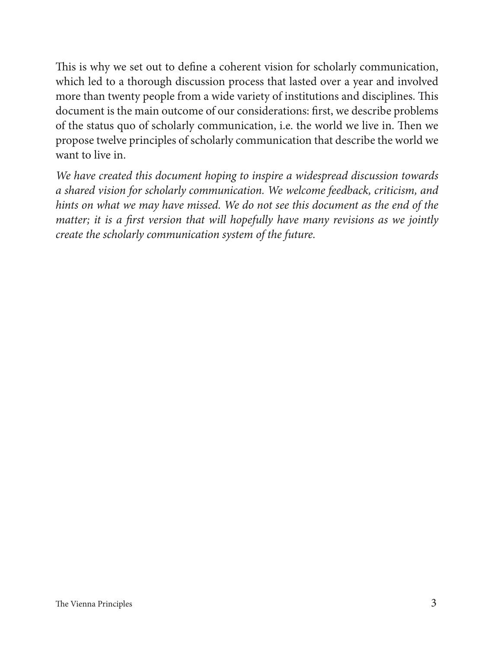This is why we set out to define a coherent vision for scholarly communication, which led to a thorough discussion process that lasted over a year and involved more than twenty people from a wide variety of institutions and disciplines. This document is the main outcome of our considerations: first, we describe problems of the status quo of scholarly communication, i.e. the world we live in. Then we propose twelve principles of scholarly communication that describe the world we want to live in.

*We have created this document hoping to inspire a widespread discussion towards a shared vision for scholarly communication. We welcome feedback, criticism, and hints on what we may have missed. We do not see this document as the end of the matter; it is a first version that will hopefully have many revisions as we jointly create the scholarly communication system of the future.*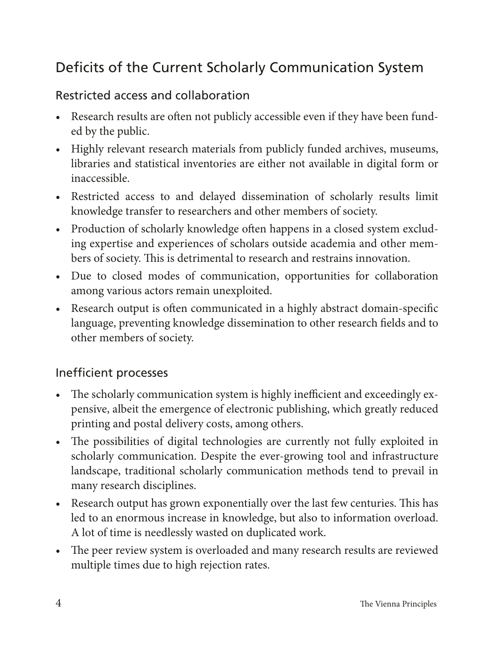## Deficits of the Current Scholarly Communication System

#### Restricted access and collaboration

- Research results are often not publicly accessible even if they have been funded by the public.
- Highly relevant research materials from publicly funded archives, museums, libraries and statistical inventories are either not available in digital form or inaccessible.
- Restricted access to and delayed dissemination of scholarly results limit knowledge transfer to researchers and other members of society.
- Production of scholarly knowledge often happens in a closed system excluding expertise and experiences of scholars outside academia and other members of society. This is detrimental to research and restrains innovation.
- Due to closed modes of communication, opportunities for collaboration among various actors remain unexploited.
- Research output is often communicated in a highly abstract domain-specific language, preventing knowledge dissemination to other research fields and to other members of society.

#### Inefficient processes

- The scholarly communication system is highly inefficient and exceedingly expensive, albeit the emergence of electronic publishing, which greatly reduced printing and postal delivery costs, among others.
- The possibilities of digital technologies are currently not fully exploited in scholarly communication. Despite the ever-growing tool and infrastructure landscape, traditional scholarly communication methods tend to prevail in many research disciplines.
- Research output has grown exponentially over the last few centuries. This has led to an enormous increase in knowledge, but also to information overload. A lot of time is needlessly wasted on duplicated work.
- The peer review system is overloaded and many research results are reviewed multiple times due to high rejection rates.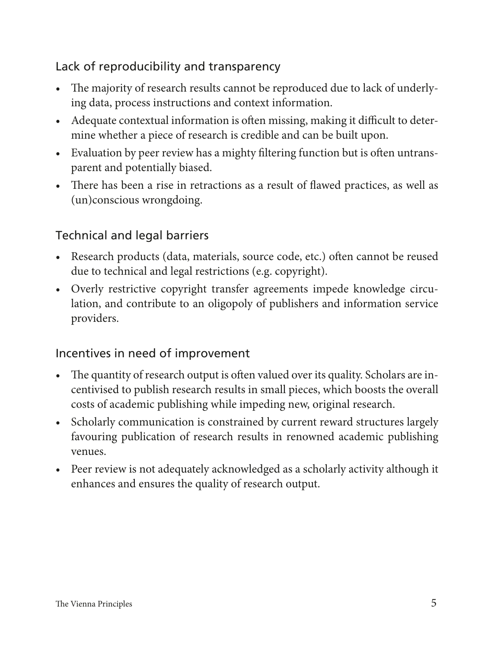#### Lack of reproducibility and transparency

- The majority of research results cannot be reproduced due to lack of underlying data, process instructions and context information.
- Adequate contextual information is often missing, making it difficult to determine whether a piece of research is credible and can be built upon.
- Evaluation by peer review has a mighty filtering function but is often untransparent and potentially biased.
- There has been a rise in retractions as a result of flawed practices, as well as (un)conscious wrongdoing.

#### Technical and legal barriers

- Research products (data, materials, source code, etc.) often cannot be reused due to technical and legal restrictions (e.g. copyright).
- Overly restrictive copyright transfer agreements impede knowledge circulation, and contribute to an oligopoly of publishers and information service providers.

#### Incentives in need of improvement

- The quantity of research output is often valued over its quality. Scholars are incentivised to publish research results in small pieces, which boosts the overall costs of academic publishing while impeding new, original research.
- Scholarly communication is constrained by current reward structures largely favouring publication of research results in renowned academic publishing venues.
- Peer review is not adequately acknowledged as a scholarly activity although it enhances and ensures the quality of research output.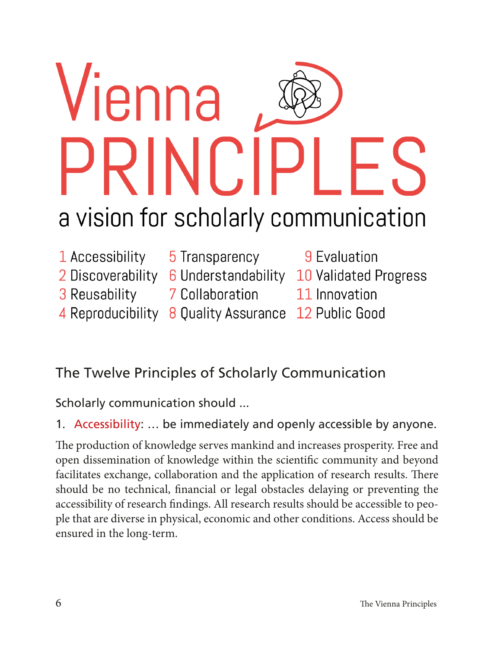# *l*ienna **RINCII** a vision for scholarly communication

- 1 Accessibility
- 5 Transparency
- 
- 3 Reusability
- 
- 7 Collaboration
- 
- 4 Reproducibility 8 Ouality Assurance 12 Public Good
- 9 Evaluation
- 2 Discoverability 6 Understandability 10 Validated Progress
	- 11 Innovation
	-

## The Twelve Principles of Scholarly Communication

Scholarly communication should ...

1. Accessibility: … be immediately and openly accessible by anyone.

The production of knowledge serves mankind and increases prosperity. Free and open dissemination of knowledge within the scientific community and beyond facilitates exchange, collaboration and the application of research results. There should be no technical, financial or legal obstacles delaying or preventing the accessibility of research findings. All research results should be accessible to people that are diverse in physical, economic and other conditions. Access should be ensured in the long-term.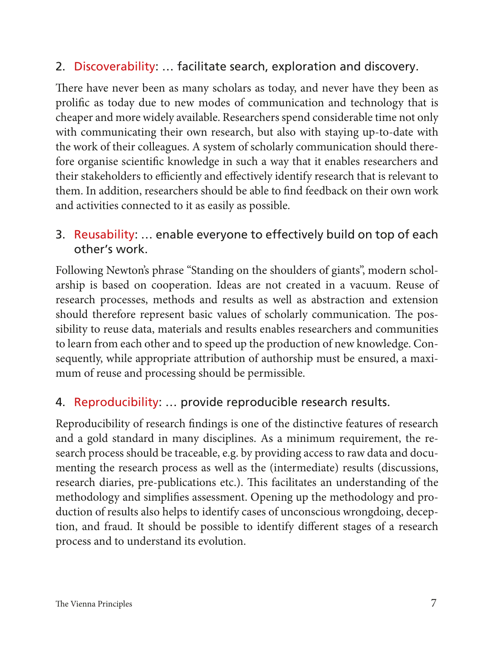#### 2. Discoverability: … facilitate search, exploration and discovery.

There have never been as many scholars as today, and never have they been as prolific as today due to new modes of communication and technology that is cheaper and more widely available. Researchers spend considerable time not only with communicating their own research, but also with staying up-to-date with the work of their colleagues. A system of scholarly communication should therefore organise scientific knowledge in such a way that it enables researchers and their stakeholders to efficiently and effectively identify research that is relevant to them. In addition, researchers should be able to find feedback on their own work and activities connected to it as easily as possible.

#### 3. Reusability: … enable everyone to effectively build on top of each other's work.

Following Newton's phrase "Standing on the shoulders of giants", modern scholarship is based on cooperation. Ideas are not created in a vacuum. Reuse of research processes, methods and results as well as abstraction and extension should therefore represent basic values of scholarly communication. The possibility to reuse data, materials and results enables researchers and communities to learn from each other and to speed up the production of new knowledge. Consequently, while appropriate attribution of authorship must be ensured, a maximum of reuse and processing should be permissible.

#### 4. Reproducibility: … provide reproducible research results.

Reproducibility of research findings is one of the distinctive features of research and a gold standard in many disciplines. As a minimum requirement, the research process should be traceable, e.g. by providing access to raw data and documenting the research process as well as the (intermediate) results (discussions, research diaries, pre-publications etc.). This facilitates an understanding of the methodology and simplifies assessment. Opening up the methodology and production of results also helps to identify cases of unconscious wrongdoing, deception, and fraud. It should be possible to identify different stages of a research process and to understand its evolution.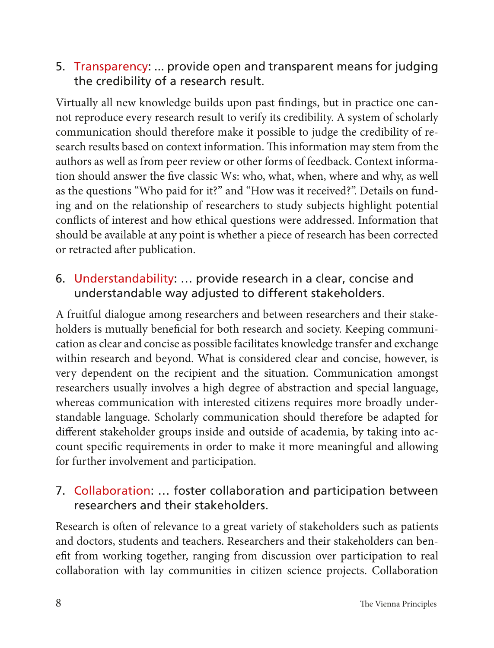#### 5. Transparency: ... provide open and transparent means for judging the credibility of a research result.

Virtually all new knowledge builds upon past findings, but in practice one cannot reproduce every research result to verify its credibility. A system of scholarly communication should therefore make it possible to judge the credibility of research results based on context information. This information may stem from the authors as well as from peer review or other forms of feedback. Context information should answer the five classic Ws: who, what, when, where and why, as well as the questions "Who paid for it?" and "How was it received?". Details on funding and on the relationship of researchers to study subjects highlight potential conflicts of interest and how ethical questions were addressed. Information that should be available at any point is whether a piece of research has been corrected or retracted after publication.

#### 6. Understandability: … provide research in a clear, concise and understandable way adjusted to different stakeholders.

A fruitful dialogue among researchers and between researchers and their stakeholders is mutually beneficial for both research and society. Keeping communication as clear and concise as possible facilitates knowledge transfer and exchange within research and beyond. What is considered clear and concise, however, is very dependent on the recipient and the situation. Communication amongst researchers usually involves a high degree of abstraction and special language, whereas communication with interested citizens requires more broadly understandable language. Scholarly communication should therefore be adapted for different stakeholder groups inside and outside of academia, by taking into account specific requirements in order to make it more meaningful and allowing for further involvement and participation.

#### 7. Collaboration: … foster collaboration and participation between researchers and their stakeholders.

Research is often of relevance to a great variety of stakeholders such as patients and doctors, students and teachers. Researchers and their stakeholders can benefit from working together, ranging from discussion over participation to real collaboration with lay communities in citizen science projects. Collaboration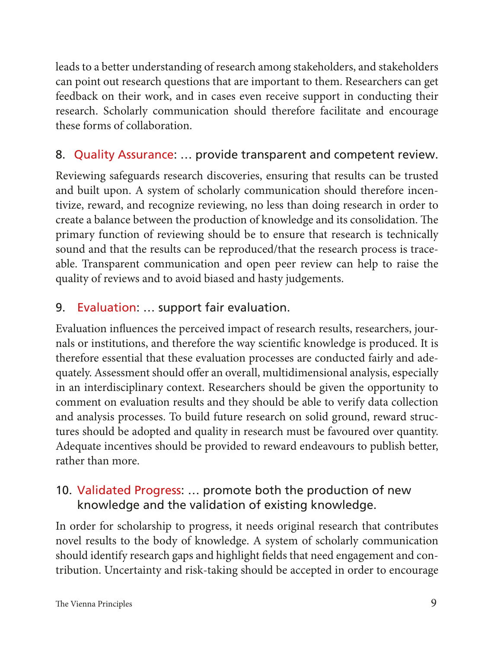leads to a better understanding of research among stakeholders, and stakeholders can point out research questions that are important to them. Researchers can get feedback on their work, and in cases even receive support in conducting their research. Scholarly communication should therefore facilitate and encourage these forms of collaboration.

#### 8. Quality Assurance: … provide transparent and competent review.

Reviewing safeguards research discoveries, ensuring that results can be trusted and built upon. A system of scholarly communication should therefore incentivize, reward, and recognize reviewing, no less than doing research in order to create a balance between the production of knowledge and its consolidation. The primary function of reviewing should be to ensure that research is technically sound and that the results can be reproduced/that the research process is traceable. Transparent communication and open peer review can help to raise the quality of reviews and to avoid biased and hasty judgements.

#### 9. Evaluation: … support fair evaluation.

Evaluation influences the perceived impact of research results, researchers, journals or institutions, and therefore the way scientific knowledge is produced. It is therefore essential that these evaluation processes are conducted fairly and adequately. Assessment should offer an overall, multidimensional analysis, especially in an interdisciplinary context. Researchers should be given the opportunity to comment on evaluation results and they should be able to verify data collection and analysis processes. To build future research on solid ground, reward structures should be adopted and quality in research must be favoured over quantity. Adequate incentives should be provided to reward endeavours to publish better, rather than more.

#### 10. Validated Progress: … promote both the production of new knowledge and the validation of existing knowledge.

In order for scholarship to progress, it needs original research that contributes novel results to the body of knowledge. A system of scholarly communication should identify research gaps and highlight fields that need engagement and contribution. Uncertainty and risk-taking should be accepted in order to encourage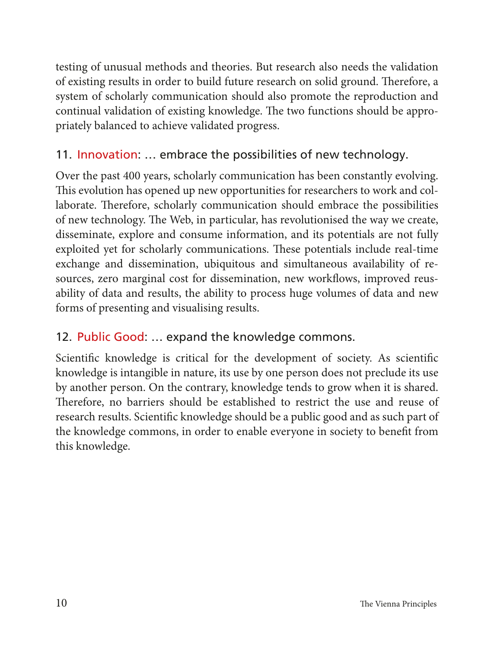testing of unusual methods and theories. But research also needs the validation of existing results in order to build future research on solid ground. Therefore, a system of scholarly communication should also promote the reproduction and continual validation of existing knowledge. The two functions should be appropriately balanced to achieve validated progress.

#### 11. Innovation: … embrace the possibilities of new technology.

Over the past 400 years, scholarly communication has been constantly evolving. This evolution has opened up new opportunities for researchers to work and collaborate. Therefore, scholarly communication should embrace the possibilities of new technology. The Web, in particular, has revolutionised the way we create, disseminate, explore and consume information, and its potentials are not fully exploited yet for scholarly communications. These potentials include real-time exchange and dissemination, ubiquitous and simultaneous availability of resources, zero marginal cost for dissemination, new workflows, improved reusability of data and results, the ability to process huge volumes of data and new forms of presenting and visualising results.

#### 12. Public Good: … expand the knowledge commons.

Scientific knowledge is critical for the development of society. As scientific knowledge is intangible in nature, its use by one person does not preclude its use by another person. On the contrary, knowledge tends to grow when it is shared. Therefore, no barriers should be established to restrict the use and reuse of research results. Scientific knowledge should be a public good and as such part of the knowledge commons, in order to enable everyone in society to benefit from this knowledge.